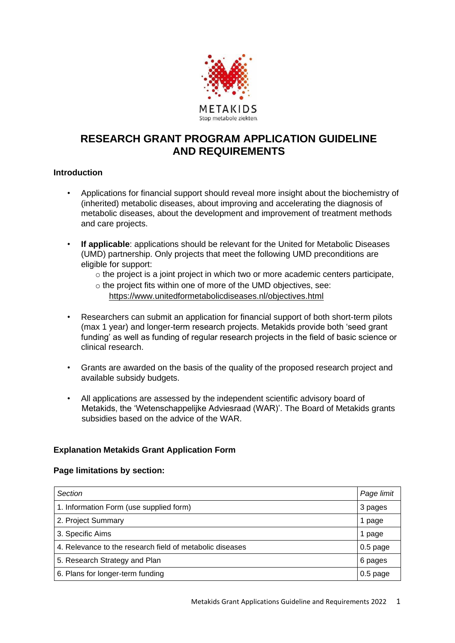

# **RESEARCH GRANT PROGRAM APPLICATION GUIDELINE AND REQUIREMENTS**

#### **Introduction**

- Applications for financial support should reveal more insight about the biochemistry of (inherited) metabolic diseases, about improving and accelerating the diagnosis of metabolic diseases, about the development and improvement of treatment methods and care projects.
- **If applicable**: applications should be relevant for the United for Metabolic Diseases (UMD) partnership. Only projects that meet the following UMD preconditions are eligible for support:
	- $\circ$  the project is a joint project in which two or more academic centers participate.
	- o the project fits within one of more of the UMD objectives, see:
		- [https://www.unitedformetabolicdiseases.nl/objectives.html](about:blank)
- Researchers can submit an application for financial support of both short-term pilots (max 1 year) and longer-term research projects. Metakids provide both 'seed grant funding' as well as funding of regular research projects in the field of basic science or clinical research.
- Grants are awarded on the basis of the quality of the proposed research project and available subsidy budgets.
- All applications are assessed by the independent scientific advisory board of Metakids, the 'Wetenschappelijke Adviesraad (WAR)'. The Board of Metakids grants subsidies based on the advice of the WAR.

#### **Explanation Metakids Grant Application Form**

#### **Page limitations by section:**

| Section                                                  | Page limit |
|----------------------------------------------------------|------------|
| 1. Information Form (use supplied form)                  | 3 pages    |
| 2. Project Summary                                       | 1 page     |
| 3. Specific Aims                                         | page       |
| 4. Relevance to the research field of metabolic diseases | $0.5$ page |
| 5. Research Strategy and Plan                            | 6 pages    |
| 6. Plans for longer-term funding                         | $0.5$ page |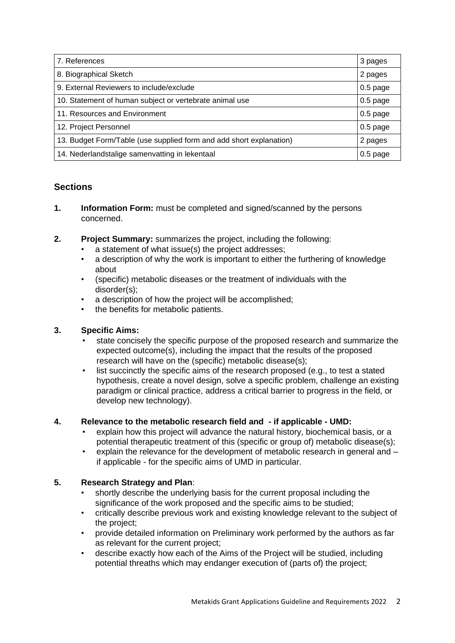| 7. References                                                       | 3 pages    |
|---------------------------------------------------------------------|------------|
| 8. Biographical Sketch                                              | 2 pages    |
| 9. External Reviewers to include/exclude                            | $0.5$ page |
| 10. Statement of human subject or vertebrate animal use             | $0.5$ page |
| 11. Resources and Environment                                       | $0.5$ page |
| 12. Project Personnel                                               | $0.5$ page |
| 13. Budget Form/Table (use supplied form and add short explanation) | 2 pages    |
| 14. Nederlandstalige samenvatting in lekentaal                      | $0.5$ page |

## **Sections**

- **1. Information Form:** must be completed and signed/scanned by the persons concerned.
- **2. Project Summary:** summarizes the project, including the following:
	- a statement of what issue(s) the project addresses;
	- a description of why the work is important to either the furthering of knowledge about
	- (specific) metabolic diseases or the treatment of individuals with the disorder(s);
	- a description of how the project will be accomplished;
	- the benefits for metabolic patients.

## **3. Specific Aims:**

- state concisely the specific purpose of the proposed research and summarize the expected outcome(s), including the impact that the results of the proposed research will have on the (specific) metabolic disease(s);
- list succinctly the specific aims of the research proposed (e.g., to test a stated hypothesis, create a novel design, solve a specific problem, challenge an existing paradigm or clinical practice, address a critical barrier to progress in the field, or develop new technology).

## **4. Relevance to the metabolic research field and - if applicable - UMD:**

- explain how this project will advance the natural history, biochemical basis, or a potential therapeutic treatment of this (specific or group of) metabolic disease(s);
- explain the relevance for the development of metabolic research in general and if applicable - for the specific aims of UMD in particular.

## **5. Research Strategy and Plan**:

- shortly describe the underlying basis for the current proposal including the significance of the work proposed and the specific aims to be studied;
- critically describe previous work and existing knowledge relevant to the subject of the project;
- provide detailed information on Preliminary work performed by the authors as far as relevant for the current project;
- describe exactly how each of the Aims of the Project will be studied, including potential threaths which may endanger execution of (parts of) the project;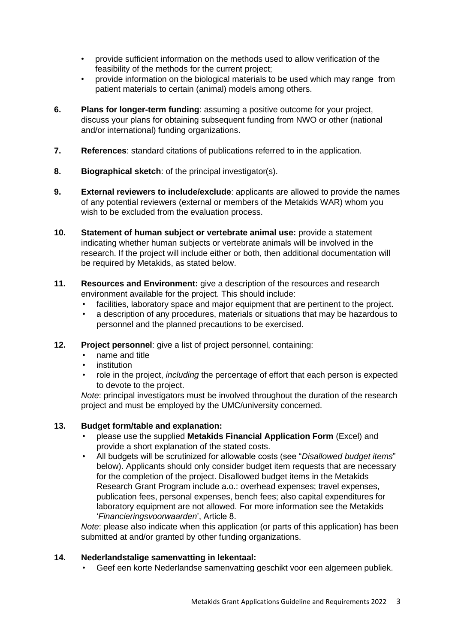- provide sufficient information on the methods used to allow verification of the feasibility of the methods for the current project;
- provide information on the biological materials to be used which may range from patient materials to certain (animal) models among others.
- **6. Plans for longer-term funding**: assuming a positive outcome for your project, discuss your plans for obtaining subsequent funding from NWO or other (national and/or international) funding organizations.
- **7. References**: standard citations of publications referred to in the application.
- **8. Biographical sketch**: of the principal investigator(s).
- **9. External reviewers to include/exclude**: applicants are allowed to provide the names of any potential reviewers (external or members of the Metakids WAR) whom you wish to be excluded from the evaluation process.
- **10. Statement of human subject or vertebrate animal use:** provide a statement indicating whether human subjects or vertebrate animals will be involved in the research. If the project will include either or both, then additional documentation will be required by Metakids, as stated below.
- **11. Resources and Environment:** give a description of the resources and research environment available for the project. This should include:
	- facilities, laboratory space and major equipment that are pertinent to the project.
	- a description of any procedures, materials or situations that may be hazardous to personnel and the planned precautions to be exercised.
- **12. Project personnel**: give a list of project personnel, containing:
	- name and title
	- institution
	- role in the project, *including* the percentage of effort that each person is expected to devote to the project.

*Note*: principal investigators must be involved throughout the duration of the research project and must be employed by the UMC/university concerned.

## **13. Budget form/table and explanation:**

- please use the supplied **Metakids Financial Application Form** (Excel) and provide a short explanation of the stated costs.
- All budgets will be scrutinized for allowable costs (see "*Disallowed budget items*" below). Applicants should only consider budget item requests that are necessary for the completion of the project. Disallowed budget items in the Metakids Research Grant Program include a.o.: overhead expenses; travel expenses, publication fees, personal expenses, bench fees; also capital expenditures for laboratory equipment are not allowed. For more information see the Metakids '*Financieringsvoorwaarden*', Article 8.

*Note*: please also indicate when this application (or parts of this application) has been submitted at and/or granted by other funding organizations.

#### **14. Nederlandstalige samenvatting in lekentaal:**

• Geef een korte Nederlandse samenvatting geschikt voor een algemeen publiek.